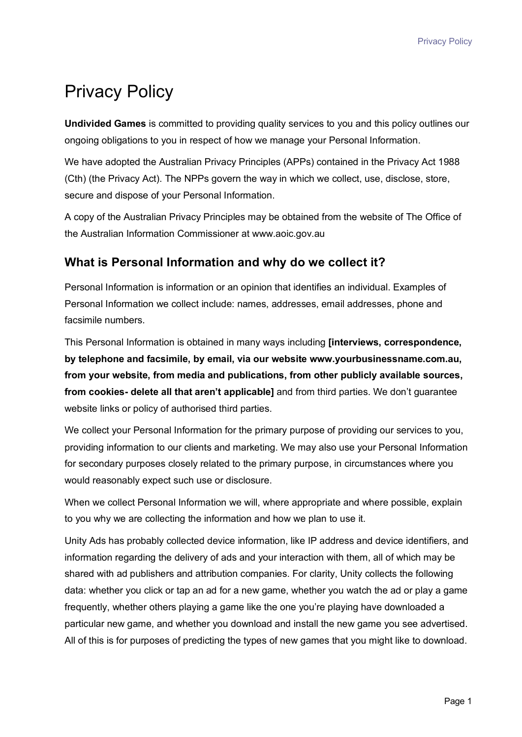# Privacy Policy

**Undivided Games** is committed to providing quality services to you and this policy outlines our ongoing obligations to you in respect of how we manage your Personal Information.

We have adopted the Australian Privacy Principles (APPs) contained in the Privacy Act 1988 (Cth) (the Privacy Act). The NPPs govern the way in which we collect, use, disclose, store, secure and dispose of your Personal Information.

A copy of the Australian Privacy Principles may be obtained from the website of The Office of the Australian Information Commissioner at www.aoic.gov.au

#### **What is Personal Information and why do we collect it?**

Personal Information is information or an opinion that identifies an individual. Examples of Personal Information we collect include: names, addresses, email addresses, phone and facsimile numbers.

This Personal Information is obtained in many ways including **[interviews, correspondence, by telephone and facsimile, by email, via our website www.yourbusinessname.com.au, from your website, from media and publications, from other publicly available sources, from cookies- delete all that aren't applicable]** and from third parties. We don't guarantee website links or policy of authorised third parties.

We collect your Personal Information for the primary purpose of providing our services to you, providing information to our clients and marketing. We may also use your Personal Information for secondary purposes closely related to the primary purpose, in circumstances where you would reasonably expect such use or disclosure.

When we collect Personal Information we will, where appropriate and where possible, explain to you why we are collecting the information and how we plan to use it.

Unity Ads has probably collected device information, like IP address and device identifiers, and information regarding the delivery of ads and your interaction with them, all of which may be shared with ad publishers and attribution companies. For clarity, Unity collects the following data: whether you click or tap an ad for a new game, whether you watch the ad or play a game frequently, whether others playing a game like the one you're playing have downloaded a particular new game, and whether you download and install the new game you see advertised. All of this is for purposes of predicting the types of new games that you might like to download.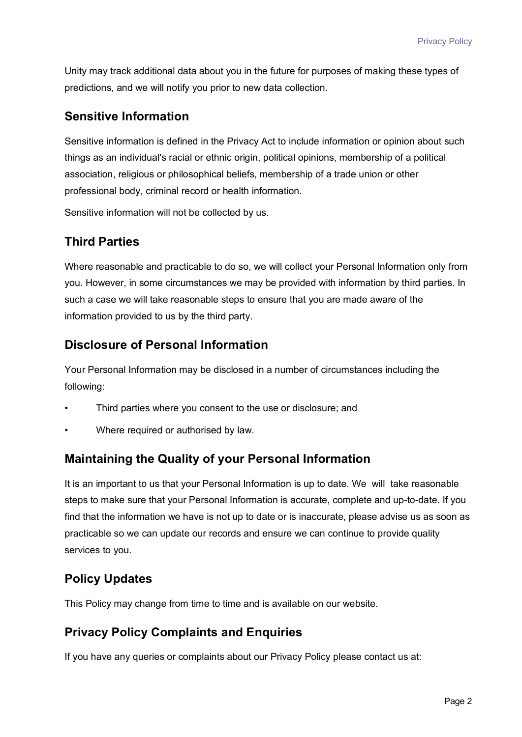Unity may track additional data about you in the future for purposes of making these types of predictions, and we will notify you prior to new data collection.

### **Sensitive Information**

Sensitive information is defined in the Privacy Act to include information or opinion about such things as an individual's racial or ethnic origin, political opinions, membership of a political association, religious or philosophical beliefs, membership of a trade union or other professional body, criminal record or health information.

Sensitive information will not be collected by us.

# **Third Parties**

Where reasonable and practicable to do so, we will collect your Personal Information only from you. However, in some circumstances we may be provided with information by third parties. In such a case we will take reasonable steps to ensure that you are made aware of the information provided to us by the third party.

## **Disclosure of Personal Information**

Your Personal Information may be disclosed in a number of circumstances including the following:

- Third parties where you consent to the use or disclosure; and
- Where required or authorised by law.

## **Maintaining the Quality of your Personal Information**

It is an important to us that your Personal Information is up to date. We will take reasonable steps to make sure that your Personal Information is accurate, complete and up-to-date. If you find that the information we have is not up to date or is inaccurate, please advise us as soon as practicable so we can update our records and ensure we can continue to provide quality services to you.

# **Policy Updates**

This Policy may change from time to time and is available on our website.

## **Privacy Policy Complaints and Enquiries**

If you have any queries or complaints about our Privacy Policy please contact us at: